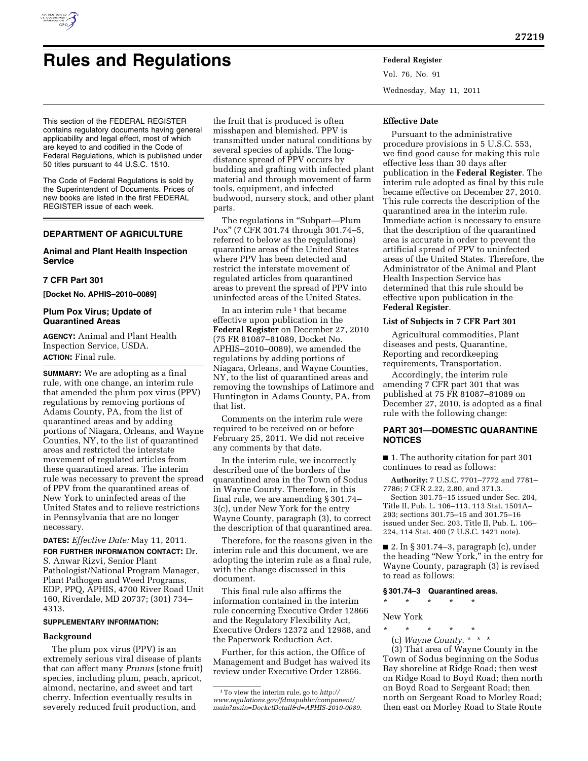

# **Rules and Regulations Federal Register**

Vol. 76, No. 91 Wednesday, May 11, 2011

This section of the FEDERAL REGISTER contains regulatory documents having general applicability and legal effect, most of which are keyed to and codified in the Code of Federal Regulations, which is published under 50 titles pursuant to 44 U.S.C. 1510.

The Code of Federal Regulations is sold by the Superintendent of Documents. Prices of new books are listed in the first FEDERAL REGISTER issue of each week.

# **DEPARTMENT OF AGRICULTURE**

# **Animal and Plant Health Inspection Service**

# **7 CFR Part 301**

**[Docket No. APHIS–2010–0089]** 

# **Plum Pox Virus; Update of Quarantined Areas**

**AGENCY:** Animal and Plant Health Inspection Service, USDA. **ACTION:** Final rule.

**SUMMARY:** We are adopting as a final rule, with one change, an interim rule that amended the plum pox virus (PPV) regulations by removing portions of Adams County, PA, from the list of quarantined areas and by adding portions of Niagara, Orleans, and Wayne Counties, NY, to the list of quarantined areas and restricted the interstate movement of regulated articles from these quarantined areas. The interim rule was necessary to prevent the spread of PPV from the quarantined areas of New York to uninfected areas of the United States and to relieve restrictions in Pennsylvania that are no longer necessary.

# **DATES:** *Effective Date:* May 11, 2011.

**FOR FURTHER INFORMATION CONTACT:** Dr. S. Anwar Rizvi, Senior Plant Pathologist/National Program Manager, Plant Pathogen and Weed Programs, EDP, PPQ, APHIS, 4700 River Road Unit 160, Riverdale, MD 20737; (301) 734– 4313.

#### **SUPPLEMENTARY INFORMATION:**

# **Background**

The plum pox virus (PPV) is an extremely serious viral disease of plants that can affect many *Prunus* (stone fruit) species, including plum, peach, apricot, almond, nectarine, and sweet and tart cherry. Infection eventually results in severely reduced fruit production, and

the fruit that is produced is often misshapen and blemished. PPV is transmitted under natural conditions by several species of aphids. The longdistance spread of PPV occurs by budding and grafting with infected plant material and through movement of farm tools, equipment, and infected budwood, nursery stock, and other plant parts.

The regulations in "Subpart—Plum Pox'' (7 CFR 301.74 through 301.74–5, referred to below as the regulations) quarantine areas of the United States where PPV has been detected and restrict the interstate movement of regulated articles from quarantined areas to prevent the spread of PPV into uninfected areas of the United States.

In an interim rule  $1$  that became effective upon publication in the **Federal Register** on December 27, 2010 (75 FR 81087–81089, Docket No. APHIS–2010–0089), we amended the regulations by adding portions of Niagara, Orleans, and Wayne Counties, NY, to the list of quarantined areas and removing the townships of Latimore and Huntington in Adams County, PA, from that list.

Comments on the interim rule were required to be received on or before February 25, 2011. We did not receive any comments by that date.

In the interim rule, we incorrectly described one of the borders of the quarantined area in the Town of Sodus in Wayne County. Therefore, in this final rule, we are amending § 301.74– 3(c), under New York for the entry Wayne County, paragraph (3), to correct the description of that quarantined area.

Therefore, for the reasons given in the interim rule and this document, we are adopting the interim rule as a final rule, with the change discussed in this document.

This final rule also affirms the information contained in the interim rule concerning Executive Order 12866 and the Regulatory Flexibility Act, Executive Orders 12372 and 12988, and the Paperwork Reduction Act.

Further, for this action, the Office of Management and Budget has waived its review under Executive Order 12866.

#### **Effective Date**

Pursuant to the administrative procedure provisions in 5 U.S.C. 553, we find good cause for making this rule effective less than 30 days after publication in the **Federal Register**. The interim rule adopted as final by this rule became effective on December 27, 2010. This rule corrects the description of the quarantined area in the interim rule. Immediate action is necessary to ensure that the description of the quarantined area is accurate in order to prevent the artificial spread of PPV to uninfected areas of the United States. Therefore, the Administrator of the Animal and Plant Health Inspection Service has determined that this rule should be effective upon publication in the **Federal Register**.

# **List of Subjects in 7 CFR Part 301**

Agricultural commodities, Plant diseases and pests, Quarantine, Reporting and recordkeeping requirements, Transportation.

Accordingly, the interim rule amending 7 CFR part 301 that was published at 75 FR 81087–81089 on December 27, 2010, is adopted as a final rule with the following change:

## **PART 301—DOMESTIC QUARANTINE NOTICES**

■ 1. The authority citation for part 301 continues to read as follows:

**Authority:** 7 U.S.C. 7701–7772 and 7781– 7786; 7 CFR 2.22, 2.80, and 371.3.

Section 301.75–15 issued under Sec. 204, Title II, Pub. L. 106–113, 113 Stat. 1501A– 293; sections 301.75–15 and 301.75–16 issued under Sec. 203, Title II, Pub. L. 106– 224, 114 Stat. 400 (7 U.S.C. 1421 note).

■ 2. In § 301.74–3, paragraph (c), under the heading ''New York,'' in the entry for Wayne County, paragraph (3) is revised to read as follows:

#### **§ 301.74–3 Quarantined areas.**

\* \* \* \* \*

# New York

- \* \* \* \* \*
	- (c) *Wayne County.* \* \* \*

(3) That area of Wayne County in the Town of Sodus beginning on the Sodus Bay shoreline at Ridge Road; then west on Ridge Road to Boyd Road; then north on Boyd Road to Sergeant Road; then north on Sergeant Road to Morley Road; then east on Morley Road to State Route

<sup>1</sup>To view the interim rule, go to *[http://](http://www.regulations.gov/fdmspublic/component/main?main=DocketDetail&d=APHIS-2010-0089)  [www.regulations.gov/fdmspublic/component/](http://www.regulations.gov/fdmspublic/component/main?main=DocketDetail&d=APHIS-2010-0089) [main?main=DocketDetail&d=APHIS-2010-0089.](http://www.regulations.gov/fdmspublic/component/main?main=DocketDetail&d=APHIS-2010-0089)*